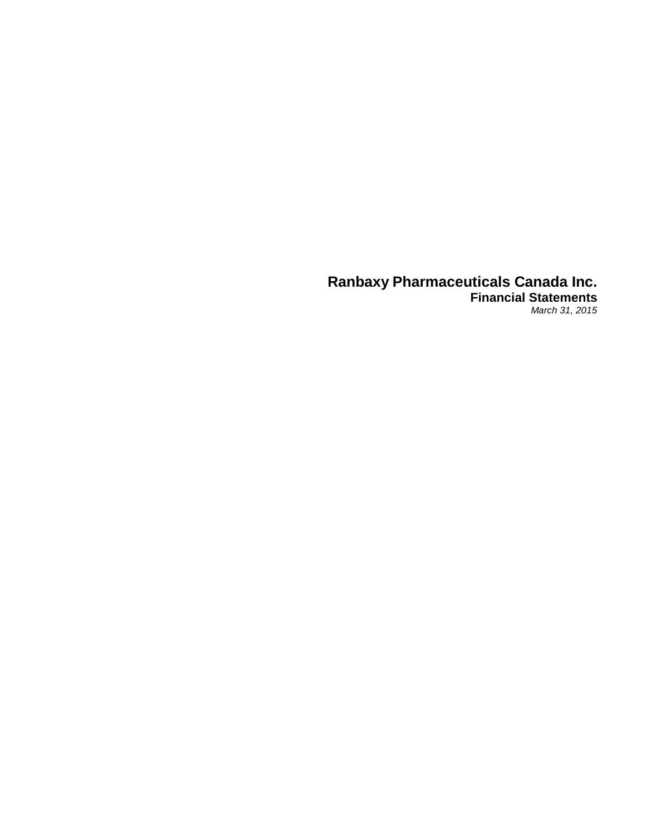# **Ranbaxy Pharmaceuticals Canada Inc. Financial Statements** *March 31, 2015*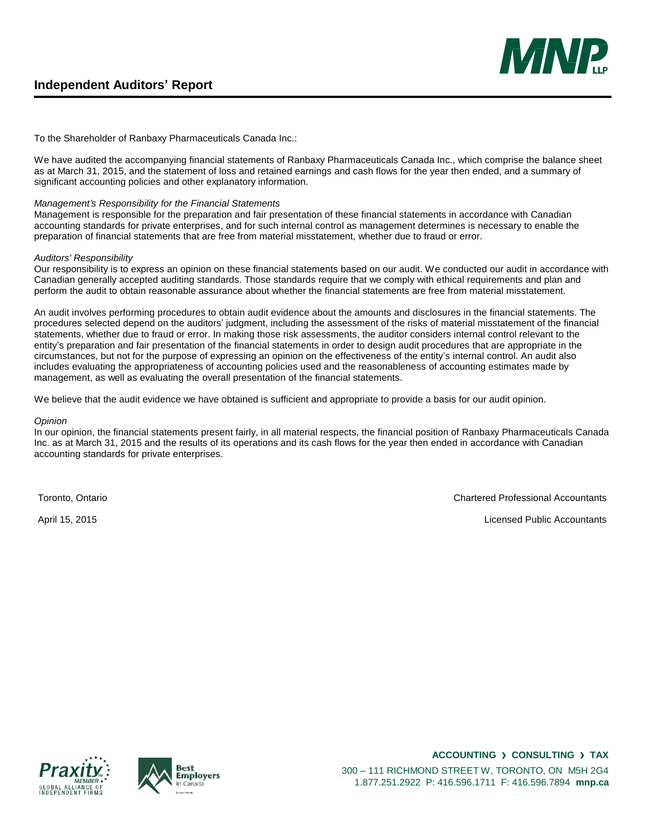

To the Shareholder of Ranbaxy Pharmaceuticals Canada Inc.:

We have audited the accompanying financial statements of Ranbaxy Pharmaceuticals Canada Inc., which comprise the balance sheet as at March 31, 2015, and the statement of loss and retained earnings and cash flows for the year then ended, and a summary of significant accounting policies and other explanatory information.

#### *Management's Responsibility for the Financial Statements*

Management is responsible for the preparation and fair presentation of these financial statements in accordance with Canadian accounting standards for private enterprises, and for such internal control as management determines is necessary to enable the preparation of financial statements that are free from material misstatement, whether due to fraud or error.

#### *Auditors' Responsibility*

Our responsibility is to express an opinion on these financial statements based on our audit. We conducted our audit in accordance with Canadian generally accepted auditing standards. Those standards require that we comply with ethical requirements and plan and perform the audit to obtain reasonable assurance about whether the financial statements are free from material misstatement.

An audit involves performing procedures to obtain audit evidence about the amounts and disclosures in the financial statements. The procedures selected depend on the auditors' judgment, including the assessment of the risks of material misstatement of the financial statements, whether due to fraud or error. In making those risk assessments, the auditor considers internal control relevant to the entity's preparation and fair presentation of the financial statements in order to design audit procedures that are appropriate in the circumstances, but not for the purpose of expressing an opinion on the effectiveness of the entity's internal control. An audit also includes evaluating the appropriateness of accounting policies used and the reasonableness of accounting estimates made by management, as well as evaluating the overall presentation of the financial statements.

We believe that the audit evidence we have obtained is sufficient and appropriate to provide a basis for our audit opinion.

#### *Opinion*

In our opinion, the financial statements present fairly, in all material respects, the financial position of Ranbaxy Pharmaceuticals Canada Inc. as at March 31, 2015 and the results of its operations and its cash flows for the year then ended in accordance with Canadian accounting standards for private enterprises.

Toronto, Ontario Chartered Professional Accountants

April 15, 2015 Licensed Public Accountants



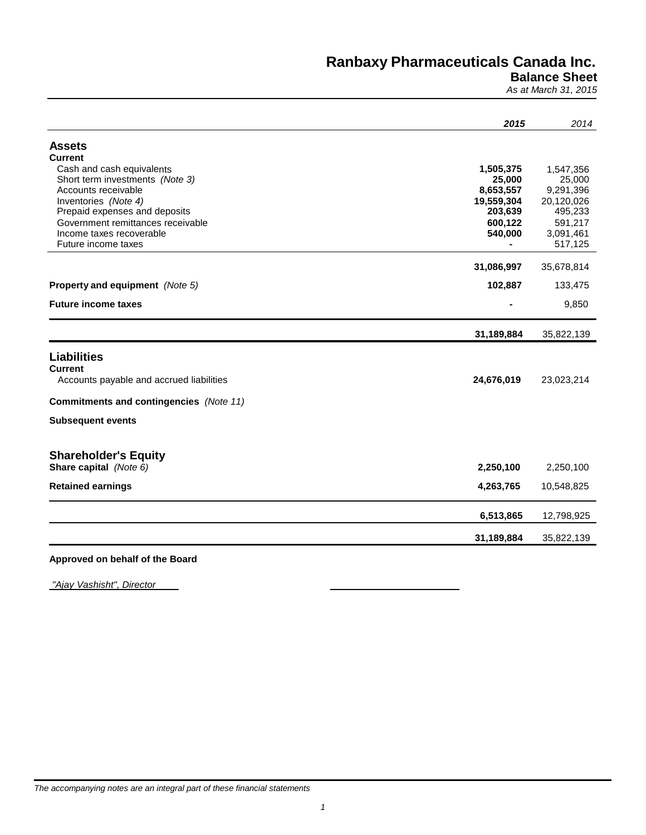**Ranbaxy Pharmaceuticals Canada Inc.**

**Balance Sheet**

*As at March 31, 2015*

|                                                | 2015       | 2014       |
|------------------------------------------------|------------|------------|
| <b>Assets</b>                                  |            |            |
| <b>Current</b>                                 |            |            |
| Cash and cash equivalents                      | 1,505,375  | 1,547,356  |
| Short term investments (Note 3)                | 25,000     | 25,000     |
| Accounts receivable                            | 8,653,557  | 9,291,396  |
| Inventories (Note 4)                           | 19,559,304 | 20,120,026 |
| Prepaid expenses and deposits                  | 203,639    | 495,233    |
| Government remittances receivable              | 600,122    |            |
|                                                |            | 591,217    |
| Income taxes recoverable                       | 540,000    | 3,091,461  |
| Future income taxes                            | ۰.         | 517,125    |
|                                                | 31,086,997 | 35,678,814 |
| Property and equipment (Note 5)                | 102,887    | 133,475    |
| <b>Future income taxes</b>                     |            | 9,850      |
|                                                | 31,189,884 | 35,822,139 |
| <b>Liabilities</b><br><b>Current</b>           |            | 23,023,214 |
| Accounts payable and accrued liabilities       | 24,676,019 |            |
| <b>Commitments and contingencies</b> (Note 11) |            |            |
| <b>Subsequent events</b>                       |            |            |
| <b>Shareholder's Equity</b>                    |            |            |
| Share capital (Note 6)                         | 2,250,100  | 2,250,100  |
| <b>Retained earnings</b>                       | 4,263,765  | 10,548,825 |
|                                                |            |            |
|                                                | 6,513,865  | 12,798,925 |
|                                                | 31,189,884 | 35,822,139 |

# **Approved on behalf of the Board**

*"Ajay Vashisht", Director*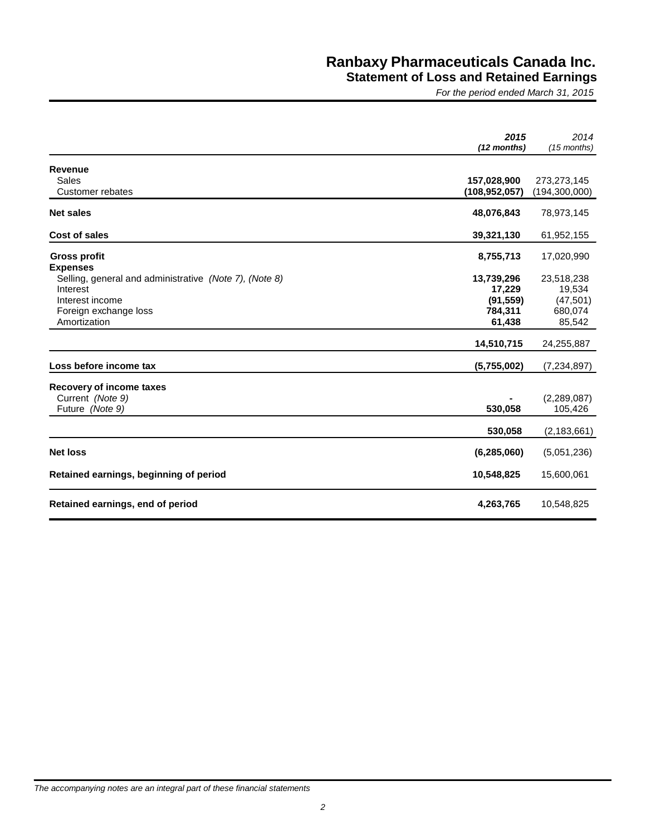# **Ranbaxy Pharmaceuticals Canada Inc. Statement of Loss and Retained Earnings**

*For the period ended March 31, 2015*

|                                                        | 2015<br>(12 months) | 2014<br>$(15$ months) |
|--------------------------------------------------------|---------------------|-----------------------|
| <b>Revenue</b>                                         |                     |                       |
| Sales                                                  | 157,028,900         | 273, 273, 145         |
| <b>Customer rebates</b>                                | (108,952,057)       | (194, 300, 000)       |
| <b>Net sales</b>                                       | 48,076,843          | 78,973,145            |
| Cost of sales                                          | 39,321,130          | 61,952,155            |
| <b>Gross profit</b>                                    | 8,755,713           | 17,020,990            |
| <b>Expenses</b>                                        |                     |                       |
| Selling, general and administrative (Note 7), (Note 8) | 13,739,296          | 23,518,238            |
| Interest                                               | 17,229              | 19,534                |
| Interest income                                        | (91, 559)           | (47, 501)             |
| Foreign exchange loss                                  | 784,311             | 680,074               |
| Amortization                                           | 61,438              | 85,542                |
|                                                        | 14,510,715          | 24,255,887            |
| Loss before income tax                                 | (5,755,002)         | (7, 234, 897)         |
| <b>Recovery of income taxes</b>                        |                     |                       |
| Current (Note 9)                                       |                     | (2,289,087)           |
| Future (Note 9)                                        | 530,058             | 105,426               |
|                                                        | 530,058             | (2, 183, 661)         |
| <b>Net loss</b>                                        | (6, 285, 060)       | (5,051,236)           |
|                                                        |                     |                       |
| Retained earnings, beginning of period                 | 10,548,825          | 15,600,061            |
| Retained earnings, end of period                       | 4,263,765           | 10,548,825            |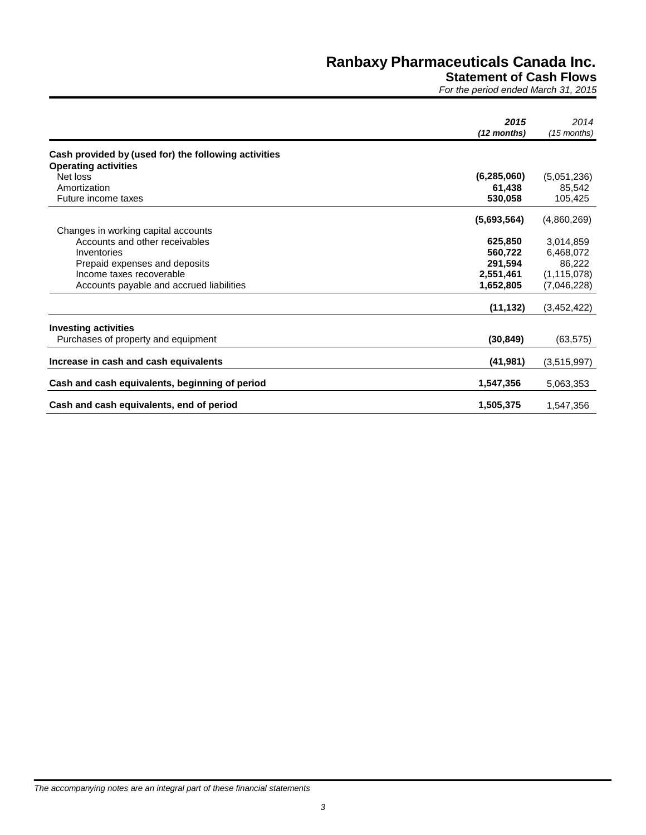# **Ranbaxy Pharmaceuticals Canada Inc.**

**Statement of Cash Flows**

*For the period ended March 31, 2015*

|                                                                                     | 2015<br>$(12$ months) | 2014<br>(15 months) |
|-------------------------------------------------------------------------------------|-----------------------|---------------------|
| Cash provided by (used for) the following activities<br><b>Operating activities</b> |                       |                     |
| Net loss                                                                            | (6, 285, 060)         | (5,051,236)         |
| Amortization                                                                        | 61,438                | 85,542              |
| Future income taxes                                                                 | 530,058               | 105,425             |
|                                                                                     | (5,693,564)           | (4,860,269)         |
| Changes in working capital accounts                                                 |                       |                     |
| Accounts and other receivables                                                      | 625,850               | 3,014,859           |
| Inventories                                                                         | 560,722               | 6,468,072           |
| Prepaid expenses and deposits                                                       | 291,594               | 86,222              |
| Income taxes recoverable                                                            | 2,551,461             | (1, 115, 078)       |
| Accounts payable and accrued liabilities                                            | 1,652,805             | (7,046,228)         |
|                                                                                     | (11, 132)             | (3,452,422)         |
| <b>Investing activities</b>                                                         |                       |                     |
| Purchases of property and equipment                                                 | (30, 849)             | (63, 575)           |
| Increase in cash and cash equivalents                                               | (41, 981)             | (3,515,997)         |
| Cash and cash equivalents, beginning of period                                      | 1,547,356             | 5,063,353           |
| Cash and cash equivalents, end of period                                            | 1,505,375             | 1,547,356           |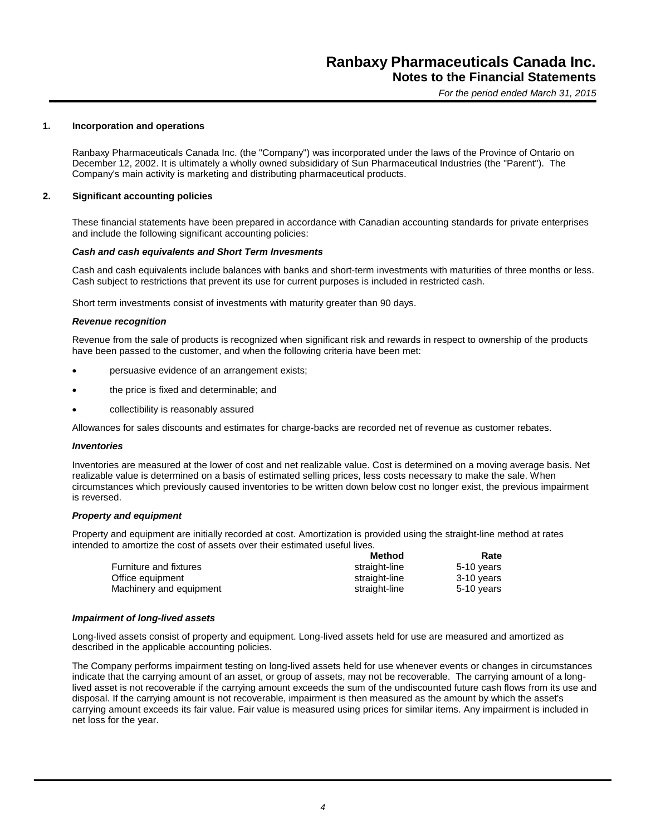#### **1. Incorporation and operations**

Ranbaxy Pharmaceuticals Canada Inc. (the "Company") was incorporated under the laws of the Province of Ontario on December 12, 2002. It is ultimately a wholly owned subsididary of Sun Pharmaceutical Industries (the "Parent"). The Company's main activity is marketing and distributing pharmaceutical products.

### **2. Significant accounting policies**

These financial statements have been prepared in accordance with Canadian accounting standards for private enterprises and include the following significant accounting policies:

#### *Cash and cash equivalents and Short Term Invesments*

Cash and cash equivalents include balances with banks and short-term investments with maturities of three months or less. Cash subject to restrictions that prevent its use for current purposes is included in restricted cash.

Short term investments consist of investments with maturity greater than 90 days.

#### *Revenue recognition*

Revenue from the sale of products is recognized when significant risk and rewards in respect to ownership of the products have been passed to the customer, and when the following criteria have been met:

- persuasive evidence of an arrangement exists;
- the price is fixed and determinable; and
- collectibility is reasonably assured

Allowances for sales discounts and estimates for charge-backs are recorded net of revenue as customer rebates.

#### *Inventories*

Inventories are measured at the lower of cost and net realizable value. Cost is determined on a moving average basis. Net realizable value is determined on a basis of estimated selling prices, less costs necessary to make the sale. When circumstances which previously caused inventories to be written down below cost no longer exist, the previous impairment is reversed.

#### *Property and equipment*

Property and equipment are initially recorded at cost. Amortization is provided using the straight-line method at rates intended to amortize the cost of assets over their estimated useful lives.

|                         | Method        | Rate       |
|-------------------------|---------------|------------|
| Furniture and fixtures  | straight-line | 5-10 years |
| Office equipment        | straight-line | 3-10 years |
| Machinery and equipment | straight-line | 5-10 vears |

#### *Impairment of long-lived assets*

Long-lived assets consist of property and equipment. Long-lived assets held for use are measured and amortized as described in the applicable accounting policies.

The Company performs impairment testing on long-lived assets held for use whenever events or changes in circumstances indicate that the carrying amount of an asset, or group of assets, may not be recoverable. The carrying amount of a longlived asset is not recoverable if the carrying amount exceeds the sum of the undiscounted future cash flows from its use and disposal. If the carrying amount is not recoverable, impairment is then measured as the amount by which the asset's carrying amount exceeds its fair value. Fair value is measured using prices for similar items. Any impairment is included in net loss for the year.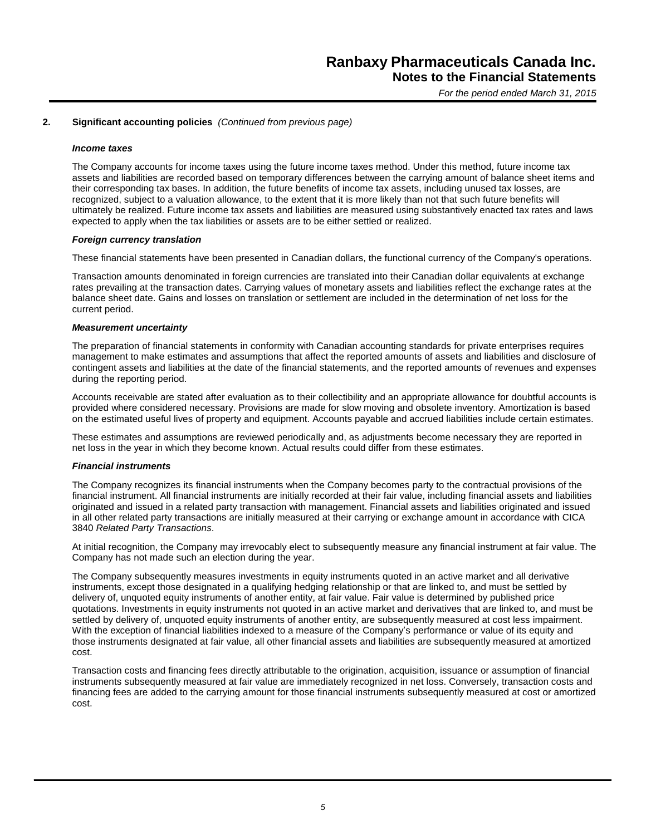# **2. Significant accounting policies** *(Continued from previous page)*

#### *Income taxes*

The Company accounts for income taxes using the future income taxes method. Under this method, future income tax assets and liabilities are recorded based on temporary differences between the carrying amount of balance sheet items and their corresponding tax bases. In addition, the future benefits of income tax assets, including unused tax losses, are recognized, subject to a valuation allowance, to the extent that it is more likely than not that such future benefits will ultimately be realized. Future income tax assets and liabilities are measured using substantively enacted tax rates and laws expected to apply when the tax liabilities or assets are to be either settled or realized.

#### *Foreign currency translation*

These financial statements have been presented in Canadian dollars, the functional currency of the Company's operations.

Transaction amounts denominated in foreign currencies are translated into their Canadian dollar equivalents at exchange rates prevailing at the transaction dates. Carrying values of monetary assets and liabilities reflect the exchange rates at the balance sheet date. Gains and losses on translation or settlement are included in the determination of net loss for the current period.

#### *Measurement uncertainty*

The preparation of financial statements in conformity with Canadian accounting standards for private enterprises requires management to make estimates and assumptions that affect the reported amounts of assets and liabilities and disclosure of contingent assets and liabilities at the date of the financial statements, and the reported amounts of revenues and expenses during the reporting period.

Accounts receivable are stated after evaluation as to their collectibility and an appropriate allowance for doubtful accounts is provided where considered necessary. Provisions are made for slow moving and obsolete inventory. Amortization is based on the estimated useful lives of property and equipment. Accounts payable and accrued liabilities include certain estimates.

These estimates and assumptions are reviewed periodically and, as adjustments become necessary they are reported in net loss in the year in which they become known. Actual results could differ from these estimates.

#### *Financial instruments*

The Company recognizes its financial instruments when the Company becomes party to the contractual provisions of the financial instrument. All financial instruments are initially recorded at their fair value, including financial assets and liabilities originated and issued in a related party transaction with management. Financial assets and liabilities originated and issued in all other related party transactions are initially measured at their carrying or exchange amount in accordance with CICA 3840 *Related Party Transactions*.

At initial recognition, the Company may irrevocably elect to subsequently measure any financial instrument at fair value. The Company has not made such an election during the year.

The Company subsequently measures investments in equity instruments quoted in an active market and all derivative instruments, except those designated in a qualifying hedging relationship or that are linked to, and must be settled by delivery of, unquoted equity instruments of another entity, at fair value. Fair value is determined by published price quotations. Investments in equity instruments not quoted in an active market and derivatives that are linked to, and must be settled by delivery of, unquoted equity instruments of another entity, are subsequently measured at cost less impairment. With the exception of financial liabilities indexed to a measure of the Company's performance or value of its equity and those instruments designated at fair value, all other financial assets and liabilities are subsequently measured at amortized cost.

Transaction costs and financing fees directly attributable to the origination, acquisition, issuance or assumption of financial instruments subsequently measured at fair value are immediately recognized in net loss. Conversely, transaction costs and financing fees are added to the carrying amount for those financial instruments subsequently measured at cost or amortized cost.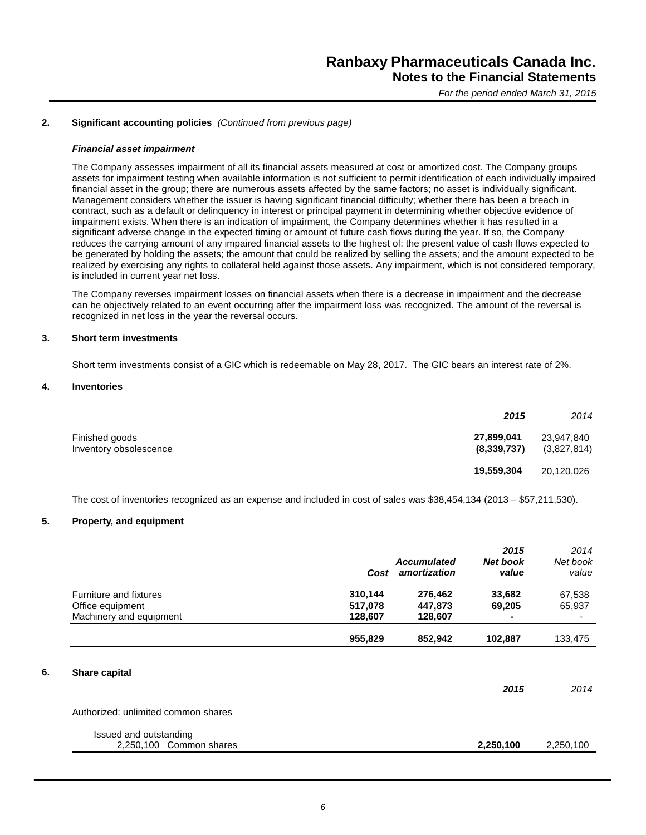#### **2. Significant accounting policies** *(Continued from previous page)*

#### *Financial asset impairment*

The Company assesses impairment of all its financial assets measured at cost or amortized cost. The Company groups assets for impairment testing when available information is not sufficient to permit identification of each individually impaired financial asset in the group; there are numerous assets affected by the same factors; no asset is individually significant. Management considers whether the issuer is having significant financial difficulty; whether there has been a breach in contract, such as a default or delinquency in interest or principal payment in determining whether objective evidence of impairment exists. When there is an indication of impairment, the Company determines whether it has resulted in a significant adverse change in the expected timing or amount of future cash flows during the year. If so, the Company reduces the carrying amount of any impaired financial assets to the highest of: the present value of cash flows expected to be generated by holding the assets; the amount that could be realized by selling the assets; and the amount expected to be realized by exercising any rights to collateral held against those assets. Any impairment, which is not considered temporary, is included in current year net loss.

The Company reverses impairment losses on financial assets when there is a decrease in impairment and the decrease can be objectively related to an event occurring after the impairment loss was recognized. The amount of the reversal is recognized in net loss in the year the reversal occurs.

#### **3. Short term investments**

Short term investments consist of a GIC which is redeemable on May 28, 2017. The GIC bears an interest rate of 2%.

#### **4. Inventories**

|                                          | 2015                      | 2014                      |
|------------------------------------------|---------------------------|---------------------------|
| Finished goods<br>Inventory obsolescence | 27,899,041<br>(8,339,737) | 23,947,840<br>(3,827,814) |
|                                          | 19,559,304                | 20,120,026                |

The cost of inventories recognized as an expense and included in cost of sales was \$38,454,134 (2013 – \$57,211,530).

#### **5. Property, and equipment**

|                                     | Cost    | <b>Accumulated</b><br>amortization | 2015<br>Net book<br>value | 2014<br>Net book<br>value |
|-------------------------------------|---------|------------------------------------|---------------------------|---------------------------|
| Furniture and fixtures              | 310,144 | 276,462                            | 33,682                    | 67,538                    |
| Office equipment                    | 517,078 | 447,873                            | 69,205                    | 65,937                    |
| Machinery and equipment             | 128,607 | 128,607                            | ۰                         |                           |
|                                     | 955,829 | 852,942                            | 102,887                   | 133,475                   |
| Share capital                       |         |                                    | 2015                      | 2014                      |
|                                     |         |                                    |                           |                           |
| Authorized: unlimited common shares |         |                                    |                           |                           |
| Issued and outstanding              |         |                                    |                           |                           |
| 2,250,100 Common shares             |         |                                    | 2,250,100                 | 2,250,100                 |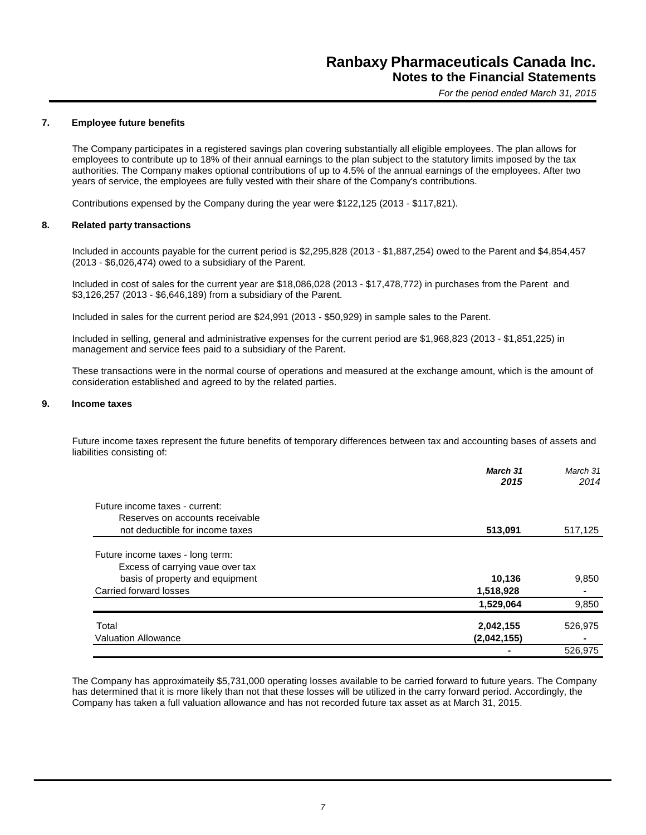# **7. Employee future benefits**

The Company participates in a registered savings plan covering substantially all eligible employees. The plan allows for employees to contribute up to 18% of their annual earnings to the plan subject to the statutory limits imposed by the tax authorities. The Company makes optional contributions of up to 4.5% of the annual earnings of the employees. After two years of service, the employees are fully vested with their share of the Company's contributions.

Contributions expensed by the Company during the year were \$122,125 (2013 - \$117,821).

#### **8. Related party transactions**

Included in accounts payable for the current period is \$2,295,828 (2013 - \$1,887,254) owed to the Parent and \$4,854,457 (2013 - \$6,026,474) owed to a subsidiary of the Parent.

Included in cost of sales for the current year are \$18,086,028 (2013 - \$17,478,772) in purchases from the Parent and \$3,126,257 (2013 - \$6,646,189) from a subsidiary of the Parent.

Included in sales for the current period are \$24,991 (2013 - \$50,929) in sample sales to the Parent.

Included in selling, general and administrative expenses for the current period are \$1,968,823 (2013 - \$1,851,225) in management and service fees paid to a subsidiary of the Parent.

These transactions were in the normal course of operations and measured at the exchange amount, which is the amount of consideration established and agreed to by the related parties.

#### **9. Income taxes**

Future income taxes represent the future benefits of temporary differences between tax and accounting bases of assets and liabilities consisting of:

|                                  | March 31<br>2015 | March 31<br>2014 |
|----------------------------------|------------------|------------------|
| Future income taxes - current:   |                  |                  |
| Reserves on accounts receivable  |                  |                  |
| not deductible for income taxes  | 513,091          | 517,125          |
|                                  |                  |                  |
| Future income taxes - long term: |                  |                  |
| Excess of carrying vaue over tax |                  |                  |
| basis of property and equipment  | 10,136           | 9,850            |
| Carried forward losses           | 1,518,928        |                  |
|                                  | 1,529,064        | 9,850            |
| Total                            | 2,042,155        | 526,975          |
| <b>Valuation Allowance</b>       | (2,042,155)      |                  |
|                                  |                  | 526,975          |

The Company has approximateily \$5,731,000 operating losses available to be carried forward to future years. The Company has determined that it is more likely than not that these losses will be utilized in the carry forward period. Accordingly, the Company has taken a full valuation allowance and has not recorded future tax asset as at March 31, 2015.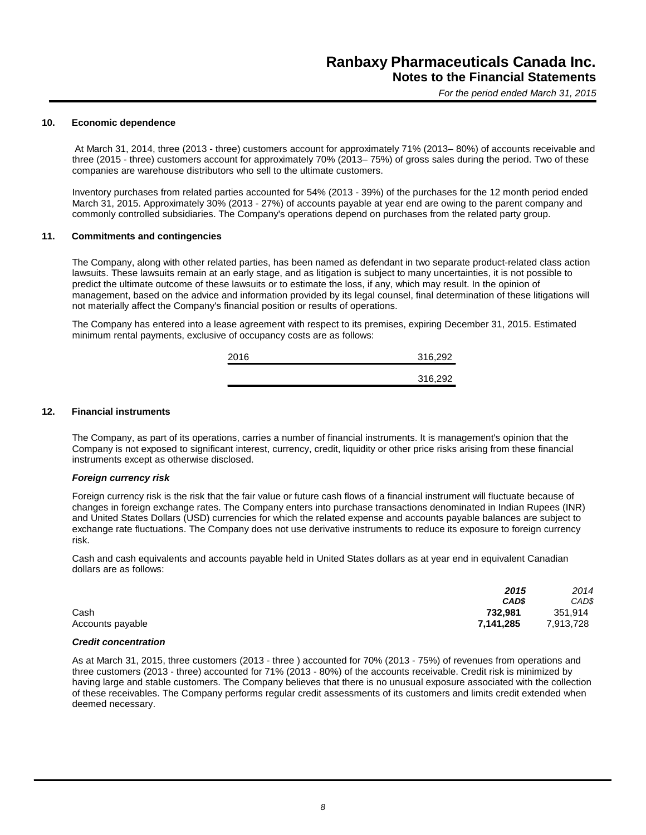#### **10. Economic dependence**

At March 31, 2014, three (2013 - three) customers account for approximately 71% (2013– 80%) of accounts receivable and three (2015 - three) customers account for approximately 70% (2013– 75%) of gross sales during the period. Two of these companies are warehouse distributors who sell to the ultimate customers.

Inventory purchases from related parties accounted for 54% (2013 - 39%) of the purchases for the 12 month period ended March 31, 2015. Approximately 30% (2013 - 27%) of accounts payable at year end are owing to the parent company and commonly controlled subsidiaries. The Company's operations depend on purchases from the related party group.

#### **11. Commitments and contingencies**

The Company, along with other related parties, has been named as defendant in two separate product-related class action lawsuits. These lawsuits remain at an early stage, and as litigation is subject to many uncertainties, it is not possible to predict the ultimate outcome of these lawsuits or to estimate the loss, if any, which may result. In the opinion of management, based on the advice and information provided by its legal counsel, final determination of these litigations will not materially affect the Company's financial position or results of operations.

The Company has entered into a lease agreement with respect to its premises, expiring December 31, 2015. Estimated minimum rental payments, exclusive of occupancy costs are as follows:

| 2016 | 316,292 |
|------|---------|
|      | 316,292 |
|      |         |

#### **12. Financial instruments**

The Company, as part of its operations, carries a number of financial instruments. It is management's opinion that the Company is not exposed to significant interest, currency, credit, liquidity or other price risks arising from these financial instruments except as otherwise disclosed.

#### *Foreign currency risk*

Foreign currency risk is the risk that the fair value or future cash flows of a financial instrument will fluctuate because of changes in foreign exchange rates. The Company enters into purchase transactions denominated in Indian Rupees (INR) and United States Dollars (USD) currencies for which the related expense and accounts payable balances are subject to exchange rate fluctuations. The Company does not use derivative instruments to reduce its exposure to foreign currency risk.

Cash and cash equivalents and accounts payable held in United States dollars as at year end in equivalent Canadian dollars are as follows:

|                  | 2015      | 2014      |
|------------------|-----------|-----------|
|                  | CAD\$     | CAD\$     |
| Cash             | 732.981   | 351,914   |
| Accounts payable | 7,141,285 | 7,913,728 |

#### *Credit concentration*

As at March 31, 2015, three customers (2013 - three ) accounted for 70% (2013 - 75%) of revenues from operations and three customers (2013 - three) accounted for 71% (2013 - 80%) of the accounts receivable. Credit risk is minimized by having large and stable customers. The Company believes that there is no unusual exposure associated with the collection of these receivables. The Company performs regular credit assessments of its customers and limits credit extended when deemed necessary.